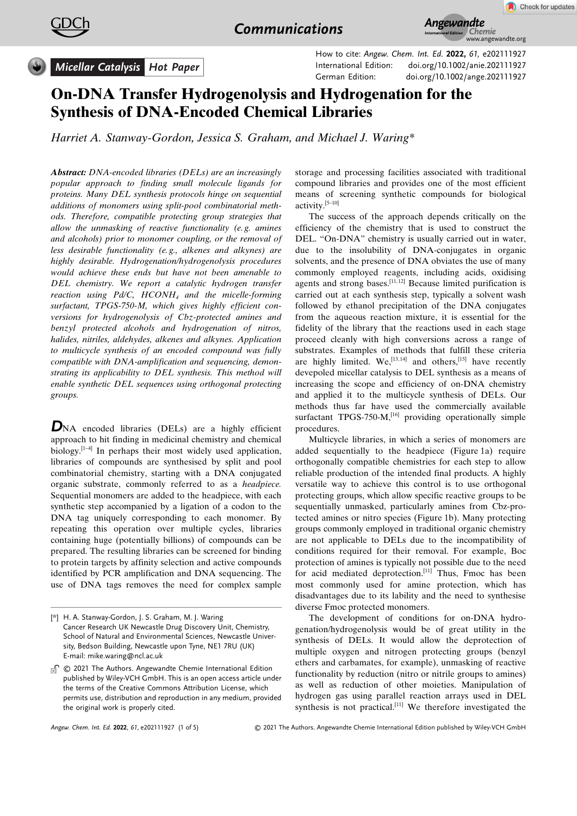



*Micellar Catalysis Hot Paper*

How to cite: *Angew. Chem. Int. Ed.* **2022,** *61,* e202111927 International Edition: [doi.org/10.1002/anie.202111927](https://doi.org/10.1002/anie.202111927) German Edition: [doi.org/10.1002/ange.202111927](https://doi.org/10.1002/ange.202111927)

## **On-DNA Transfer Hydrogenolysis and Hydrogenation for the Synthesis of DNA-Encoded Chemical Libraries**

*Harriet A. [Stanway-Gordon,](http://orcid.org/0000-0001-5911-8802) Jessica S. [Graham,](http://orcid.org/0000-0001-9528-4234) and [Michael](http://orcid.org/0000-0002-9110-8783) J. Waring\**

*Abstract: DNA-encoded libraries (DELs) are an increasingly popular approach to finding small molecule ligands for proteins. Many DEL synthesis protocols hinge on sequential additions of monomers using split-pool combinatorial methods. Therefore, compatible protecting group strategies that allow the unmasking of reactive functionality (e. g. amines and alcohols) prior to monomer coupling, or the removal of less desirable functionality (e. g., alkenes and alkynes) are highly desirable. Hydrogenation/hydrogenolysis procedures would achieve these ends but have not been amenable to DEL chemistry. We report a catalytic hydrogen transfer reaction using Pd/C, HCONH4 and the micelle-forming surfactant, TPGS-750-M, which gives highly efficient conversions for hydrogenolysis of Cbz-protected amines and benzyl protected alcohols and hydrogenation of nitros, halides, nitriles, aldehydes, alkenes and alkynes. Application to multicycle synthesis of an encoded compound was fully compatible with DNA-amplification and sequencing, demonstrating its applicability to DEL synthesis. This method will enable synthetic DEL sequences using orthogonal protecting groups.*

**D**NA encoded libraries (DELs) are a highly efficient approach to hit finding in medicinal chemistry and chemical biology.<sup>[1-4]</sup> In perhaps their most widely used application, libraries of compounds are synthesised by split and pool combinatorial chemistry, starting with a DNA conjugated organic substrate, commonly referred to as a *headpiece.* Sequential monomers are added to the headpiece, with each synthetic step accompanied by a ligation of a codon to the DNA tag uniquely corresponding to each monomer. By repeating this operation over multiple cycles, libraries containing huge (potentially billions) of compounds can be prepared. The resulting libraries can be screened for binding to protein targets by affinity selection and active compounds identified by PCR amplification and DNA sequencing. The use of DNA tags removes the need for complex sample storage and processing facilities associated with traditional compound libraries and provides one of the most efficient means of screening synthetic compounds for biological activity.[5–10]

The success of the approach depends critically on the efficiency of the chemistry that is used to construct the DEL. "On-DNA" chemistry is usually carried out in water, due to the insolubility of DNA-conjugates in organic solvents, and the presence of DNA obviates the use of many commonly employed reagents, including acids, oxidising agents and strong bases.<sup>[11,12]</sup> Because limited purification is carried out at each synthesis step, typically a solvent wash followed by ethanol precipitation of the DNA conjugates from the aqueous reaction mixture, it is essential for the fidelity of the library that the reactions used in each stage proceed cleanly with high conversions across a range of substrates. Examples of methods that fulfill these criteria are highly limited. We,  $^{[13,14]}$  and others,  $^{[15]}$  have recently devepoled micellar catalysis to DEL synthesis as a means of increasing the scope and efficiency of on-DNA chemistry and applied it to the multicycle synthesis of DELs. Our methods thus far have used the commercially available surfactant TPGS-750-M, $^{[16]}$  providing operationally simple procedures.

Multicycle libraries, in which a series of monomers are added sequentially to the headpiece (Figure 1a) require orthogonally compatible chemistries for each step to allow reliable production of the intended final products. A highly versatile way to achieve this control is to use orthogonal protecting groups, which allow specific reactive groups to be sequentially unmasked, particularly amines from Cbz-protected amines or nitro species (Figure 1b). Many protecting groups commonly employed in traditional organic chemistry are not applicable to DELs due to the incompatibility of conditions required for their removal. For example, Boc protection of amines is typically not possible due to the need for acid mediated deprotection. $\left[11\right]$  Thus, Fmoc has been most commonly used for amine protection, which has disadvantages due to its lability and the need to synthesise diverse Fmoc protected monomers.

The development of conditions for on-DNA hydrogenation/hydrogenolysis would be of great utility in the synthesis of DELs. It would allow the deprotection of multiple oxygen and nitrogen protecting groups (benzyl ethers and carbamates, for example), unmasking of reactive functionality by reduction (nitro or nitrile groups to amines) as well as reduction of other moieties. Manipulation of hydrogen gas using parallel reaction arrays used in DEL synthesis is not practical.<sup>[11]</sup> We therefore investigated the

<sup>[\*]</sup> H. A. Stanway-Gordon, J. S. Graham, M. J. Waring Cancer Research UK Newcastle Drug Discovery Unit, Chemistry, School of Natural and Environmental Sciences, Newcastle University, Bedson Building, Newcastle upon Tyne, NE1 7RU (UK) E-mail: mike.waring@ncl.ac.uk

C 2021 The Authors. Angewandte Chemie International Edition published by Wiley-VCH GmbH. This is an open access article under the terms of the Creative Commons Attribution License, which permits use, distribution and reproduction in any medium, provided the original work is properly cited.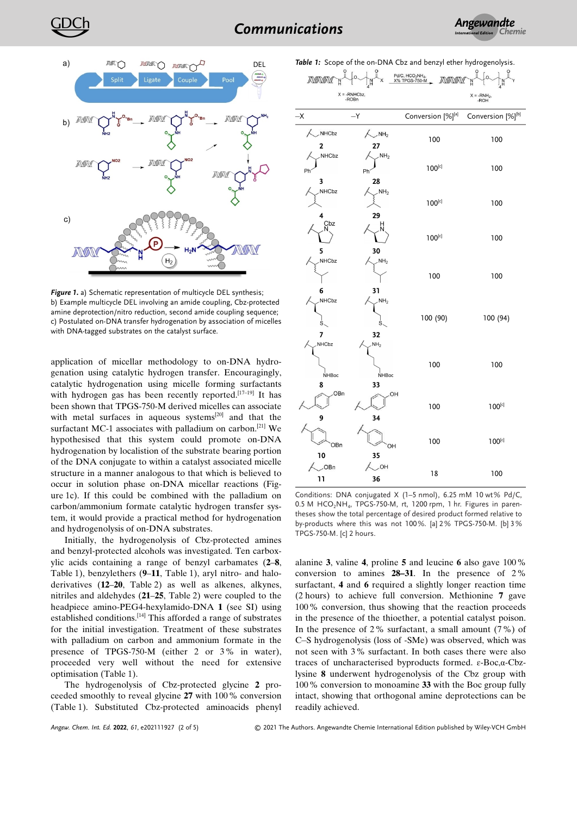



*Figure 1.* a) Schematic representation of multicycle DEL synthesis; b) Example multicycle DEL involving an amide coupling, Cbz-protected amine deprotection/nitro reduction, second amide coupling sequence; c) Postulated on-DNA transfer hydrogenation by association of micelles with DNA-tagged substrates on the catalyst surface.

application of micellar methodology to on-DNA hydrogenation using catalytic hydrogen transfer. Encouragingly, catalytic hydrogenation using micelle forming surfactants with hydrogen gas has been recently reported.<sup>[17-19]</sup> It has been shown that TPGS-750-M derived micelles can associate with metal surfaces in aqueous systems<sup>[20]</sup> and that the surfactant MC-1 associates with palladium on carbon.<sup>[21]</sup> We hypothesised that this system could promote on-DNA hydrogenation by localistion of the substrate bearing portion of the DNA conjugate to within a catalyst associated micelle structure in a manner analogous to that which is believed to occur in solution phase on-DNA micellar reactions (Figure 1c). If this could be combined with the palladium on carbon/ammonium formate catalytic hydrogen transfer system, it would provide a practical method for hydrogenation and hydrogenolysis of on-DNA substrates.

Initially, the hydrogenolysis of Cbz-protected amines and benzyl-protected alcohols was investigated. Ten carboxylic acids containing a range of benzyl carbamates (**2**–**8**, Table 1), benzylethers (**9**–**11**, Table 1), aryl nitro- and haloderivatives (**12**–**20**, Table 2) as well as alkenes, alkynes, nitriles and aldehydes (**21**–**25**, Table 2) were coupled to the headpiece amino-PEG4-hexylamido-DNA **1** (see SI) using established conditions.[14] This afforded a range of substrates for the initial investigation. Treatment of these substrates with palladium on carbon and ammonium formate in the presence of TPGS-750-M (either 2 or 3% in water), proceeded very well without the need for extensive optimisation (Table 1).

The hydrogenolysis of Cbz-protected glycine **2** proceeded smoothly to reveal glycine **27** with 100% conversion (Table 1). Substituted Cbz-protected aminoacids phenyl

*Angew. Chem. Int. Ed.* **2022**, *61*, e202111927 (2 of 5) © 2021 The Authors. Angewandte Chemie International Edition published by Wiley-VCH GmbH

| MONON                                                         |                                  | Pd/C, HCO <sub>2</sub> NH <sub>4</sub> ,<br>X% TPGS-750-M<br>MOMON |                   |  |
|---------------------------------------------------------------|----------------------------------|--------------------------------------------------------------------|-------------------|--|
| $X = -RNHCbz$<br>-ROBn                                        |                                  | $X = -RNH2$<br>$-ROH$                                              |                   |  |
| $-\mathsf{X}$                                                 | $-Y$                             | Conversion [%][a]                                                  | Conversion [%][b] |  |
| NHCbz<br>$\overline{c}$                                       | NH <sub>2</sub><br>27            | 100                                                                | 100               |  |
| NHCbz<br>Ph<br>3                                              | NH <sub>2</sub><br>Ph<br>28      | $100^{[c]}$                                                        | 100               |  |
| NHCbz<br>4                                                    | NH <sub>2</sub><br>29            | $100^{[c]}$                                                        | 100               |  |
| Cbz<br>5                                                      | 30                               | $100^{[c]}$                                                        | 100               |  |
| NHCbz                                                         | NH <sub>2</sub>                  | 100                                                                | 100               |  |
| 6<br>NHCbz<br>Ś.<br>7                                         | 31<br>NH <sub>2</sub><br>Ś<br>32 | 100 (90)                                                           | 100 (94)          |  |
| NHCbz<br>NHBoc<br>8                                           | NH <sub>2</sub><br>NHBoc<br>33   | 100                                                                | 100               |  |
| OBn<br>9                                                      | OH<br>34                         | 100                                                                | $100^{[c]}$       |  |
| OBn                                                           | OH                               | 100                                                                | $100^{[c]}$       |  |
| 10<br>OBn<br>11                                               | 35<br>$\sim$ OH<br>36            | 18                                                                 | 100               |  |
| Conditions: DNA conjugated X (1-5 nmol), 6.25 mM 10 wt% Pd/C, |                                  |                                                                    |                   |  |

 $0.5$  M HCO<sub>2</sub>NH<sub>4</sub>, TPGS-750-M, rt, 1200 rpm, 1 hr. Figures in parentheses show the total percentage of desired product formed relative to by-products where this was not 100%. [a] 2% TPGS-750-M. [b] 3% TPGS-750-M. [c] 2 hours.

alanine **3**, valine **4**, proline **5** and leucine **6** also gave 100% conversion to amines **28–31**. In the presence of 2% surfactant, **4** and **6** required a slightly longer reaction time (2 hours) to achieve full conversion. Methionine **7** gave 100% conversion, thus showing that the reaction proceeds in the presence of the thioether, a potential catalyst poison. In the presence of 2% surfactant, a small amount (7%) of C-S hydrogenolysis (loss of -SMe) was observed, which was not seen with 3% surfactant. In both cases there were also traces of uncharacterised byproducts formed. ɛ-Boc,α-Cbzlysine **8** underwent hydrogenolysis of the Cbz group with 100% conversion to monoamine **33** with the Boc group fully intact, showing that orthogonal amine deprotections can be readily achieved.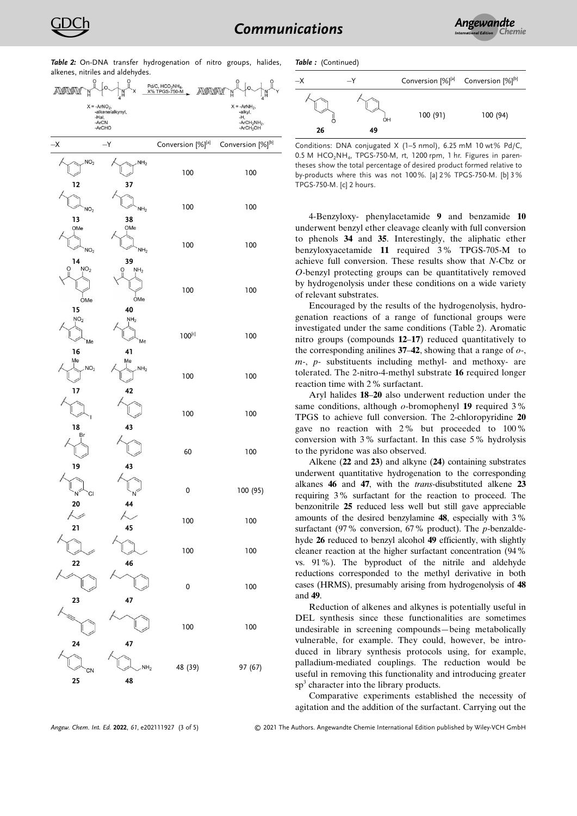| <b>THE 2.</b> OTHER Hansier hydrogenation of the groups,<br>$i$ a $i$ ucs,<br>alkenes, nitriles and aldehydes. |                                |                                                                    |                                                                      |  |
|----------------------------------------------------------------------------------------------------------------|--------------------------------|--------------------------------------------------------------------|----------------------------------------------------------------------|--|
| <b><i>ROUROUK</i></b>                                                                                          | $\circ$                        | Pd/C, HCO <sub>2</sub> NH <sub>4</sub> ,<br>X% TPGS-750-M<br>MONON | i                                                                    |  |
|                                                                                                                | $X = -ArNO2, -alkenelalkynyl,$ |                                                                    | $X = -ArNH2$ ,<br>-alkyl,                                            |  |
| -Hal,                                                                                                          | -ArCN<br>-ArCHO                |                                                                    | -Н,<br>-ArCH <sub>2</sub> NH <sub>2</sub> ,<br>-ArCH <sub>2</sub> OH |  |
| $-\mathsf{X}$                                                                                                  | $-Y$                           | Conversion [%][a]                                                  | Conversion [%][b]                                                    |  |
| NO <sub>2</sub>                                                                                                | NH <sub>2</sub>                | 100                                                                | 100                                                                  |  |
| 12                                                                                                             | 37                             |                                                                    |                                                                      |  |
| NO <sub>2</sub>                                                                                                | NH <sub>2</sub>                | 100                                                                | 100                                                                  |  |
| 13<br>OMe<br>NO <sub>2</sub>                                                                                   | 38<br>OMe<br>NH <sub>2</sub>   | 100                                                                | 100                                                                  |  |
| 14<br>NO <sub>2</sub><br>O                                                                                     | 39<br>NH <sub>2</sub><br>O     |                                                                    |                                                                      |  |
| OMe                                                                                                            | OMe                            | 100                                                                | 100                                                                  |  |
| 15<br>NO <sub>2</sub><br>Me                                                                                    | 40<br>NH <sub>2</sub><br>Me    | $100^{[c]}$                                                        | 100                                                                  |  |
| 16<br>Me<br>NO <sub>2</sub>                                                                                    | 41<br>Me<br>NH <sub>2</sub>    | 100                                                                | 100                                                                  |  |
| 17<br>18                                                                                                       | 42<br>43                       | 100                                                                | 100                                                                  |  |
| Br                                                                                                             | 43                             | 60                                                                 | 100                                                                  |  |
| 19<br>CI<br>N<br>20                                                                                            | 44                             | 0                                                                  | 100 (95)                                                             |  |
| 21                                                                                                             | 45                             | 100                                                                | 100                                                                  |  |
|                                                                                                                | 46                             | 100                                                                | 100                                                                  |  |
| 22                                                                                                             |                                | 0                                                                  | 100                                                                  |  |
| 23                                                                                                             | 47                             | 100                                                                | 100                                                                  |  |
| 24<br>CN<br>25                                                                                                 | 47<br>NH <sub>2</sub><br>48    | 48 (39)                                                            | 97 (67)                                                              |  |
|                                                                                                                |                                |                                                                    |                                                                      |  |

*Table 2:* On-DNA transfer hydrogenation of nitro groups, halides,

*Table :* (Continued)



Conditions: DNA conjugated X (1–5 nmol), 6.25 mM 10 wt% Pd/C,  $0.5$  M HCO<sub>2</sub>NH<sub>4</sub>, TPGS-750-M, rt, 1200 rpm, 1 hr. Figures in parentheses show the total percentage of desired product formed relative to by-products where this was not 100%. [a] 2% TPGS-750-M. [b] 3% TPGS-750-M. [c] 2 hours.

4-Benzyloxy- phenylacetamide **9** and benzamide **10** underwent benzyl ether cleavage cleanly with full conversion to phenols **34** and **35**. Interestingly, the aliphatic ether benzyloxyacetamide **11** required 3% TPGS-705-M to achieve full conversion. These results show that *N*-Cbz or *O*-benzyl protecting groups can be quantitatively removed by hydrogenolysis under these conditions on a wide variety of relevant substrates.

Encouraged by the results of the hydrogenolysis, hydrogenation reactions of a range of functional groups were investigated under the same conditions (Table 2). Aromatic nitro groups (compounds **12**–**17**) reduced quantitatively to the corresponding anilines **37**–**42**, showing that a range of *o*-, *m*-, *p*- substituents including methyl- and methoxy- are tolerated. The 2-nitro-4-methyl substrate **16** required longer reaction time with 2% surfactant.

Aryl halides **18**–**20** also underwent reduction under the same conditions, although *o*-bromophenyl **19** required 3% TPGS to achieve full conversion. The 2-chloropyridine **20** gave no reaction with 2% but proceeded to 100% conversion with 3% surfactant. In this case 5% hydrolysis to the pyridone was also observed.

Alkene (**22** and **23**) and alkyne (**24**) containing substrates underwent quantitative hydrogenation to the corresponding alkanes **46** and **47**, with the *trans*-disubstituted alkene **23** requiring 3% surfactant for the reaction to proceed. The benzonitrile **25** reduced less well but still gave appreciable amounts of the desired benzylamine **48**, especially with 3% surfactant (97% conversion, 67% product). The *p*-benzaldehyde **26** reduced to benzyl alcohol **49** efficiently, with slightly cleaner reaction at the higher surfactant concentration (94% vs. 91%). The byproduct of the nitrile and aldehyde reductions corresponded to the methyl derivative in both cases (HRMS), presumably arising from hydrogenolysis of **48** and **49**.

Reduction of alkenes and alkynes is potentially useful in DEL synthesis since these functionalities are sometimes undesirable in screening compounds—being metabolically vulnerable, for example. They could, however, be introduced in library synthesis protocols using, for example, palladium-mediated couplings. The reduction would be useful in removing this functionality and introducing greater sp<sup>3</sup> character into the library products.

Comparative experiments established the necessity of agitation and the addition of the surfactant. Carrying out the

*Angew. Chem. Int. Ed.* **2022**, *61*, e202111927 (3 of 5) © 2021 The Authors. Angewandte Chemie International Edition published by Wiley-VCH GmbH

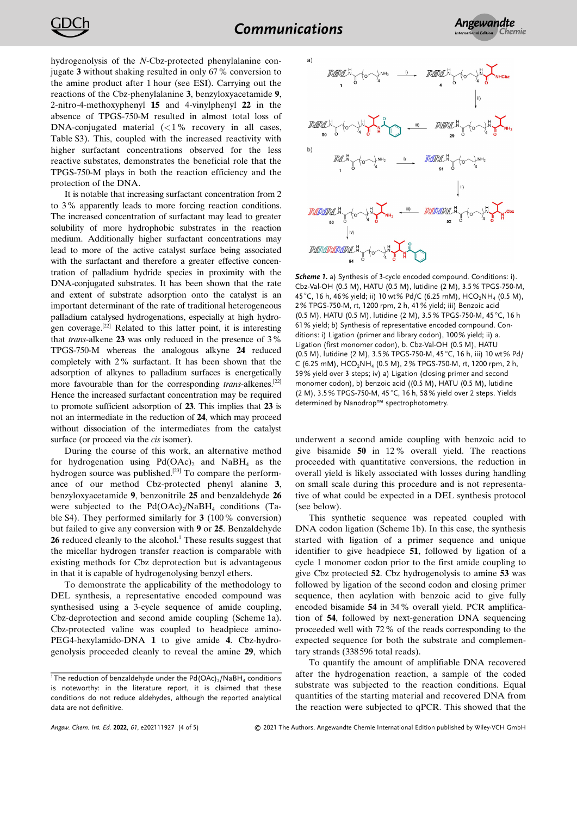hydrogenolysis of the *N*-Cbz-protected phenylalanine conjugate **3** without shaking resulted in only 67% conversion to the amine product after 1 hour (see ESI). Carrying out the reactions of the Cbz-phenylalanine **3**, benzyloxyacetamide **9**, 2-nitro-4-methoxyphenyl **15** and 4-vinylphenyl **22** in the absence of TPGS-750-M resulted in almost total loss of DNA-conjugated material (*<*1% recovery in all cases, Table S3). This, coupled with the increased reactivity with higher surfactant concentrations observed for the less reactive substates, demonstrates the beneficial role that the TPGS-750-M plays in both the reaction efficiency and the protection of the DNA.

It is notable that increasing surfactant concentration from 2 to 3% apparently leads to more forcing reaction conditions. The increased concentration of surfactant may lead to greater solubility of more hydrophobic substrates in the reaction medium. Additionally higher surfactant concentrations may lead to more of the active catalyst surface being associated with the surfactant and therefore a greater effective concentration of palladium hydride species in proximity with the DNA-conjugated substrates. It has been shown that the rate and extent of substrate adsorption onto the catalyst is an important determinant of the rate of traditional heterogeneous palladium catalysed hydrogenations, especially at high hydrogen coverage.[22] Related to this latter point, it is interesting that *trans*-alkene **23** was only reduced in the presence of 3% TPGS-750-M whereas the analogous alkyne **24** reduced completely with 2% surfactant. It has been shown that the adsorption of alkynes to palladium surfaces is energetically more favourable than for the corresponding *trans*-alkenes.[22] Hence the increased surfactant concentration may be required to promote sufficient adsorption of **23**. This implies that **23** is not an intermediate in the reduction of **24**, which may proceed without dissociation of the intermediates from the catalyst surface (or proceed via the *cis* isomer).

During the course of this work, an alternative method for hydrogenation using  $Pd(OAc)$ , and  $NaBH<sub>4</sub>$  as the hydrogen source was published.<sup>[23]</sup> To compare the performance of our method Cbz-protected phenyl alanine **3**, benzyloxyacetamide **9**, benzonitrile **25** and benzaldehyde **26** were subjected to the  $Pd(OAc)/NaBH_4$  conditions (Table S4). They performed similarly for **3** (100% conversion) but failed to give any conversion with **9** or **25**. Benzaldehyde 26 reduced cleanly to the alcohol.<sup>1</sup> These results suggest that the micellar hydrogen transfer reaction is comparable with existing methods for Cbz deprotection but is advantageous in that it is capable of hydrogenolysing benzyl ethers.

To demonstrate the applicability of the methodology to DEL synthesis, a representative encoded compound was synthesised using a 3-cycle sequence of amide coupling, Cbz-deprotection and second amide coupling (Scheme 1a). Cbz-protected valine was coupled to headpiece amino-PEG4-hexylamido-DNA **1** to give amide **4**. Cbz-hydrogenolysis proceeded cleanly to reveal the amine **29**, which



*Scheme 1.* a) Synthesis of 3-cycle encoded compound. Conditions: i). Cbz-Val-OH (0.5 M), HATU (0.5 M), lutidine (2 M), 3.5% TPGS-750-M, 45 °C, 16 h, 46% yield; ii) 10 wt% Pd/C (6.25 mM), HCO<sub>2</sub>NH<sub>4</sub> (0.5 M), 2% TPGS-750-M, rt, 1200 rpm, 2 h, 41% yield; iii) Benzoic acid (0.5 M), HATU (0.5 M), lutidine (2 M), 3.5% TPGS-750-M, 45 °C, 16 h 61% yield; b) Synthesis of representative encoded compound. Conditions: i) Ligation (primer and library codon), 100% yield; ii) a. Ligation (first monomer codon), b. Cbz-Val-OH (0.5 M), HATU (0.5 M), lutidine (2 M), 3.5% TPGS-750-M, 45 °C, 16 h, iii) 10 wt% Pd/ C (6.25 mM), HCO<sub>2</sub>NH<sub>4</sub> (0.5 M), 2% TPGS-750-M, rt, 1200 rpm, 2 h, 59% yield over 3 steps; iv) a) Ligation (closing primer and second monomer codon), b) benzoic acid ((0.5 M), HATU (0.5 M), lutidine (2 M), 3.5% TPGS-750-M, 45 °C, 16 h, 58% yield over 2 steps. Yields determined by Nanodrop™ spectrophotometry.

underwent a second amide coupling with benzoic acid to give bisamide **50** in 12% overall yield. The reactions proceeded with quantitative conversions, the reduction in overall yield is likely associated with losses during handling on small scale during this procedure and is not representative of what could be expected in a DEL synthesis protocol (see below).

This synthetic sequence was repeated coupled with DNA codon ligation (Scheme 1b). In this case, the synthesis started with ligation of a primer sequence and unique identifier to give headpiece **51**, followed by ligation of a cycle 1 monomer codon prior to the first amide coupling to give Cbz protected **52**. Cbz hydrogenolysis to amine **53** was followed by ligation of the second codon and closing primer sequence, then acylation with benzoic acid to give fully encoded bisamide **54** in 34% overall yield. PCR amplification of **54**, followed by next-generation DNA sequencing proceeded well with 72% of the reads corresponding to the expected sequence for both the substrate and complementary strands (338 596 total reads).

To quantify the amount of amplifiable DNA recovered after the hydrogenation reaction, a sample of the coded substrate was subjected to the reaction conditions. Equal quantities of the starting material and recovered DNA from the reaction were subjected to qPCR. This showed that the

<sup>&</sup>lt;sup>1</sup>The reduction of benzaldehyde under the Pd(OAc)<sub>2</sub>/NaBH<sub>4</sub> conditions is noteworthy: in the literature report, it is claimed that these conditions do not reduce aldehydes, although the reported analytical data are not definitive.